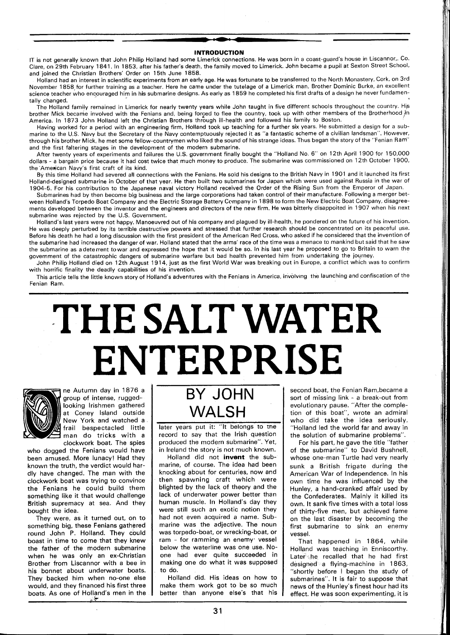### **INTRODUCTION**

IT is not generally known that John Philip Holland had some Limerick connections. He was born in a coast-guard's house in Liscannor,. Co. Clare, on 29th February 1841. In 1853, after his father's death, the family moved to Limerick. John became a pupil at Sexton Street School. and joined the Christian Brothers' Order on 15th June 1858.

Holland had an interest in scientific experiments from an early age. He was fortunate to be transferred to the North Monastery. Cork, on 3rd November 1858,for further training as a teacher. Here he came under the tutelage of a Limerick man, Brother Dominic Burke, an excellent science teacher who encouraged him in his submarine designs. As early as 1859 he completed his first drafts of a design he never fundamentally changed.

The Holland family remained in Limerick for nearly twenty years while John taught in five different schools throughout the country. His brother Mick became involved with the Fenians and, being forced to flee the country, took up with other members of the Brotherhood in America. In 1873 John Holland left the Christian Brothers through ill-health and followed his family to Boston.

Having worked for a period with an engineering firm, Holland took up teaching for a further six years. He submitted a design for a submarine to the U.S. Navy but the Secretary of the Navy contemptuously rejected it as "a fantastic scheme of a civilian landsman". However, through his brother Mick, he met some fellow-countrymen who liked the sound of his strange ideas. Thus began the story of the "Fenian Ram" and the first faltering stages in the development of the modern submarine.

After twenty years of experiments and failures the U.S. government finally bought the "Holland No. 6" on 12th April 1900 for 150,000 dollars - a bargain price because it had cost twice that much money to produce. The submarine was commissioned on 12th October 1900. the'American Navy's first craft of its kind.

By this time Holland had severed all connections with the Fenians. He sold his designs to the British Navy in 1901 and it launched its first Holland-designed submarine in October of that year. He then built two submarines for Japan which were used against Russia in the war of 1904-5. For his contribution to the Japanese naval victory Holland received the Order of the Rising Sun from the Emperor of Japan.

Submarines had by then become big business and the large corporations had taken control of their manufacture. Following a merger between Holland's Torpedo Boat Company and the Electric Storage Battery Company in 1898 to form the New Electric Boat Company, disagreements developed between the inventor and the engineers and directors of the new firm. He was bitterly disappoited in 1907 when his next submarine was rejected by the U.S. Government.

Holland's last years were not happy. Manoeuvred out of his company and plagued by ill-health, he pondered on the future of his invention. He was deeply perturbed by its terrible destructive powers and stressed that further research should be concentrated on its peaceful use. Before his death he had a long discussion with the first president of the American Red Cross, who asked if he considered that the invention of the submarine had increased the danger of war. Holland stated that the arms' race of the time was a menace to mankind but said that he saw the submarine as adeterrent towar and expressed the hope that it would be so. In his last year he proposed to go to Britain to warn the government of the catastrophic dangers of submarine warfare but bad health prevented him from undertaking the journey.

John Philip Holland died on 12th August 1914, just as the first World War was breaking out in Europe, a conflict which was to confirm with horrific finality the deadly capabilities of his invention.

This article tells the little known story of Holland's adventures with the Fenians in America, involving the launching and confiscation of the Fenian Ram.

# **THE SALT WATER ENTERPRISE**



ne Autumn day in 1876 a group of intense, ruggedlooking Irishmen gathered at Coney Island outside New York and watched a frail bespectacled little man do tricks with a clockwork boat. The spies

who dogged the Fenians would have been amused. More lunacy! Had they known the truth, the verdict would hardly have changed. The man with the clockwork boat was trying to convince the Fenians he could build them something like it that would challenge British supremacy at sea. And they bought the idea.

They were, as it turned out, on to something big, these Fenians gathered round John P. Holland. They could boast in time to come that they knew the father of the modern submarine when he was only an ex-Christian Brother from Liscannor with a bee in his bonnet about underwater boats. They backed him when no-one else would, and they financed his first three boats. As one of Holland's men in the

# BY JOHN WALSH

later years put it: "It belongs to the record to say that the Irish question produced the modern submarine". Yet, in Ireland the story is not much known.

Holland did not **invent** the submarine, of course. The idea had been knocking about for centuries, now and then spawning craft which were blighted by the lack of theory and the lack of underwater power better than human muscle. In Holland's day they were still such an exotic notion they had not even acquired a name. Submarine was the adjective. The noun was torpedo-boat, or wrecking-boat, or ram - for ramming an enemy vessel below the waterline was one use. Noone had ever quite succeeded in making one do what it was supposed to do.

Holland did. His ideas on how to make them work got to be so much better than anyone else's that his second boat, the Fenian Ram,became a sort of missing link - a break-out from evolutionary pause. "After the completion of this boat", wrote an admiral who did take the idea seriously, "Holland led the world far and away in the solution of submarine problems".

For his part, he gave the title "father of the submarine" to David Bushnell, whose one-man Turtle had very nearly sunk a British frigate during the American War of Independence. In his own time he was influenced by the Hunley, a hand-cranked affair used by the Confederates. Mainly it killed its own. It sank five times with a total loss of thirty-five men, but achieved fame on the last disaster by becoming the first submarine to sink an enemy vessel.

That happened in 1864, while Holland was teaching in Enniscorthy. Later the recalled that he had first designed a flying-machine in 1863, "shortly before I began the study of submarines". It is fair to suppose that news of the Hunley's finest hour had its effect. He was soon experimenting, it is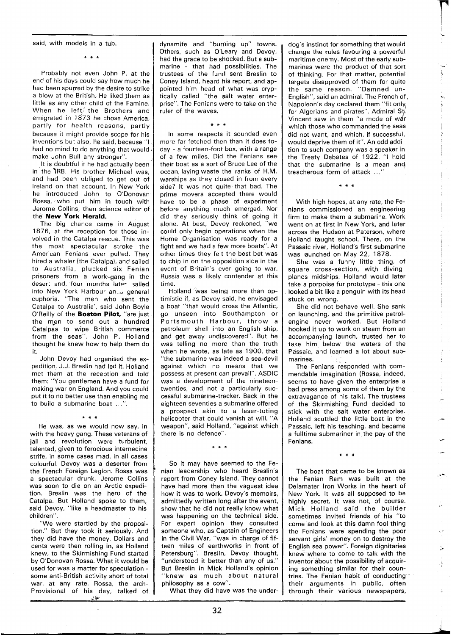said, with models in a tub.

Probably not even John P. at the end of his days could say how much he had been spurred by the desire to strike a blow at the British, He liked them as little as any other child of the Famine. When he left $\check{ }$  the Brothers and emigrated in 1873 he chose America, partly for health reasons, partly because it might provide scope for his inventions but also, he said, because "I had no mind to do anything that would make John Bull any stronger".

It is doubtful if he had actually been in the 7RB. His brother Michael was, and had been obliged to get out of Ireland on that account. In New York he introduced John to O'Donovan Rossa, who put him in touch with Jerome Collins, then science editor of the **New York Herald.** 

The big chance came in August 1876, at the reception for those involved in the Catalpa rescue. This was the most spectacular stroke the American Fenians ever pulled. They hired a whaler (the Catalpa), and sailed to Australia, plucked six Fenian prisoners from a work-gang in the desert and, four months later sailed into New York Harbour an ... general euphoria. "The men who sent the Catalpa to Australia', said John Boyle O'Reilly of the **Boston Pilot,** "are just the men to send out a hundred Catalpas to wipe British commerce from the seas". John P. Holland thought he knew how to help them do it.

John Devoy had organised the expedition. J.J. Breslin had led it. Holland met them at the reception and told them: "You gentlemen have a fund for making war on England. And you could put it to no better use than enabling me to build a submarine boat ...".

 $\frac{1}{2}$   $\frac{1}{2}$   $\frac{1}{2}$ 

He was, as we would now say, in with the heavy gang. These veterans of jail and revolution were turbulent, talented, given to ferocious internecine strife, in some cases mad, in all cases colourful. Devoy was a deserter from the French Foreign Legion. Rossa was a spectacular drunk. Jerome Collins was soon to die on an Arctic expedition. Breslin was the hero of the Catalpa. But Holland spoke to them, said Devoy, "like a headmaster to his children".

"We were startled by the proposition." But they took it seriously. And they did have the money. Dollars and cents were then rolling in, as Holland knew, to the Skirmishing Fund started by O'Donovan Rossa. What it would be used for was a matter for speculation some anti-British activity short of total war, at any rate. Rossa, the arch-Provisional of his day, talked of dynamite and "burning up" towns. Others, such as O'Leary and Devoy, had the grace to be shocked. But a submarine - that had possibilities. The trustees of the fund sent Breslin to Coney Island, heard his report, and appointed him head of what was cryptically called "the salt water enterprise". The Fenians were to take on the ruler of the waves.

\* \* \*

In some respects it sounded even more far-fetched then than it does today - a fourteen-foot box, with a range of a few miles. Did the Fenians see their boat as a sort of Bruce Lee of the ocean, laying waste the ranks of H.M. warships as they closed in from every side? It was not quite that bad. The prime movers accepted there would have to be a phase of experiment before anything much emerged. Nor did they seriously think of going it alone. At best, Devoy reckoned, "we could only begin operations when the Home Organisation was ready for a fight and we had a few more boats". At other times they felt the best bet was to chip in on the opposition side in the event of Britain's ever going to war. Russia was a likely contender at this time.

Holland was being more than optimistic if, as Devoy said, he envisaged a boat "that would cross the Atlantic, go unseen into Southampton or Portsmouth Harbour, throw a petroleum shell into an English ship, and get away undiscovered". But he was telling no more than the truth when he wrote, as late as 1900, that "the submarine was indeed a sea-devil against which no means that we possess at present can prevail". ASDlC was a development of the nineteentwenties, and not a particularly successful submarine-tracker. Back in the eighteen seventies a submarine offered a prospect akin to a laser-toting helicopter that could vanish at will. "A weapon", said Holland, "against which there is no defence".

## $* * *$

So it may have seemed to the Fenian leadership who heard Breslin's report from Coney Island. They cannot have had more than the vaguest idea how it was to work. Devoy's memoirs, admittedly written long after the event, show that he did not really know what was happening on the technical side. For expert opinion they consulted someone who, as Captain of Engineers in the Civil War, "was in charge of fifteen miles of earthworks in front of Petersburg". Breslin, Devoy thought, "understood it better than any of us." But Breslin in Mick Holland's opinion "knew as much about natural philosophy as a cow".

What they did have was the under-

dog's instinct for something that would change the rules favouring a powerful maritime enemy. Most of the early submarines were the product of that sort of thinking. For that matter, potential targets disapproved of them for quite the same reason. "Damned un-English", said an admiral. The French of, Napoleon's day declared them "fit only, for Algerians and pirates". Admiral St. Vincent saw in them "a mode of war which those who commanded the seas did not want, and which, if successful, would deprive them of it". An odd addition to such company was a speaker in the Treaty Debates of 1922. "1 hold that the submarine is a mean and treacherous form of attack ...'

With high hopes, at any rate, the Fenians commissioned an engineering firm to make them a submarine. Work went on at first in New York, and later across the Hudson at Paterson, where Holland taught school. There, on the Passaic river, Holland's first submarine was launched on May 22, 1878.

She was a funny little thing, of square cross-section, with divingplanes midships. Holland would later take a porpoise for prototype - this one looked a bit like a penguin with its head stuck on wrong.

She did not behave well. She sank on launching, and the primitive petrolengine never worked. But Holland hooked it up to work on steam from an accompanying launch, trusted her to take him below the waters of the Passaic, and learned a lot about submarines.

The Fenians responded with commendable imagination (Rossa, indeed, seems to have given the enterprise a bad press among some of them by the extravagance of his talk). The trustees of the Skirmishing Fund decided to stick with the salt water enterprise. Holland scuttled the little boat in the Passaic, left his teaching, and became a fulltime submariner in the pay of the Fenians.

 $* * *$ 

The boat that came to be known as the Fenian Ram was built at the Delamater Iron Works in the heart of New York. It was all supposed to be highly secret. It was not, of course. Mick Holland said the builder sometimes invited friends of his "to come and look at this damn fool thing the Fenians were spending the poor servant girls' money on to destroy the English sea power". Foreign dignitaries knew where to come to talk with the inventor about the possibility of acquiring something similar for their countries. The Fenian habit of conducting' their arguments in public, often through their various newspapers,

لڻ

Ą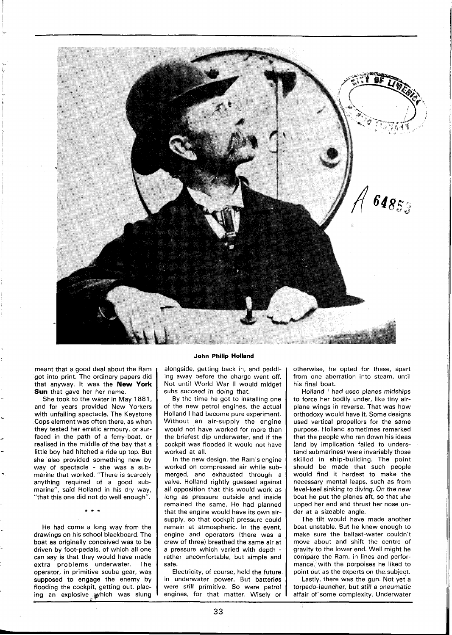

meant that a good deal about the Ram got into print. The ordinary papers did that anyway. It was the **New York Sun** that gave her her name.

She took to the water in May 1881, and for years provided New Yorkers with unfailing spectacle. The Keystone Cops element was often there, as when they tested her erratic armoury, or surfaced in the path of a ferry-boat, or realised in the middle of the bay that a little boy had hitched a ride up top. But she also provided something new by way of spectacle - she was a submarine that worked. "There is scarcely anything required of a good submarine", said Holland in his dry way, "that this one did not do well enough".

He had come a long way from the drawings on his school blackboard. The boat as originally conceived was to be driven by foot-pedals, of which all one can say is that they would have made extra problems underwater. The operator, in primitive scuba gear, was supposed to engage the enemy by flooding the cockpit, getting out, placing an explosive which was slung

### **John Philip Holland**

alongside, getting back in, and peddling away before the charge went off. Not until World War II would midget subs succeed in doing that.

By the time he got to installing one of the new petrol engines, the actual Holland I had become pure experiment. Without an air-supply the engine would not have worked for more than the briefest dip underwater, and if the cockpit was flooded it would not have worked at all.

In the new design, the Ram's engine worked on compressed air while submerged, and exhausted through a valve. Holland rightly guessed against all opposition that this would work as long as pressure outside and inside remained the same. He had planned that the engine would have its own airsupply, so that cockpit pressure could remain at atmospheric. In the event, engine and operators (there was a crew of three) breathed the same air at a pressure which varied with depth rather uncomfortable, but simple and safe.

Electricity, of course, held the future in underwater power. But batteries were still primitive. So were petrol engines, for that matter. Wisely or otherwise, he opted for these, apart from one aberration into steam, until his final boat.

Holland I had used planes midships to force her bodily under, like tiny airplane wings in reverse. That was how orthodoxy would have it. Some designs used vertical propellors for the same purpose. Holland sometimes remarked that the people who ran down his ideas (and by implication failed to understand submarines) were invariably those skilled in ship-building. The point should be made that such people would find it hardest to make the necessary mental leaps, such as from level-keel sinking to diving. On the new boat he put the planes aft, so that she upped her end and thrust her nose under at a sizeable angle.

The tilt would have made another boat unstable. But he knew enough to make sure the ballast-water couldn't move about and shift the centre of gravity to the lower end. Well might he compare the Ram, in lines and performance, with the porpoises he liked to point out as the experts on the subject.

Lastly, there was the gun. Not yet a torpedo-launcher, but still a pneumatic affair of some complexity. Underwater